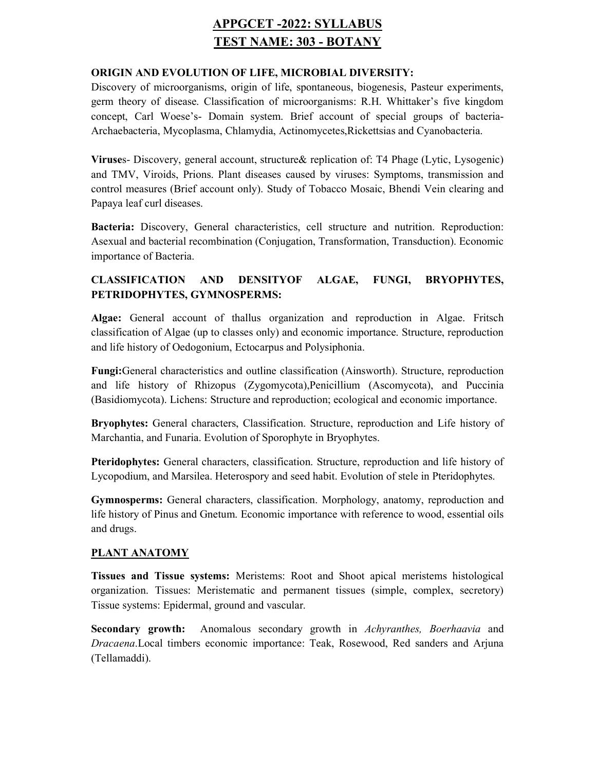# APPGCET -2022: SYLLABUS TEST NAME: 303 - BOTANY

#### ORIGIN AND EVOLUTION OF LIFE, MICROBIAL DIVERSITY:

Discovery of microorganisms, origin of life, spontaneous, biogenesis, Pasteur experiments, germ theory of disease. Classification of microorganisms: R.H. Whittaker's five kingdom concept, Carl Woese's- Domain system. Brief account of special groups of bacteria-Archaebacteria, Mycoplasma, Chlamydia, Actinomycetes,Rickettsias and Cyanobacteria.

Viruses- Discovery, general account, structure& replication of: T4 Phage (Lytic, Lysogenic) and TMV, Viroids, Prions. Plant diseases caused by viruses: Symptoms, transmission and control measures (Brief account only). Study of Tobacco Mosaic, Bhendi Vein clearing and Papaya leaf curl diseases.

Bacteria: Discovery, General characteristics, cell structure and nutrition. Reproduction: Asexual and bacterial recombination (Conjugation, Transformation, Transduction). Economic importance of Bacteria.

## CLASSIFICATION AND DENSITYOF ALGAE, FUNGI, BRYOPHYTES, PETRIDOPHYTES, GYMNOSPERMS:

Algae: General account of thallus organization and reproduction in Algae. Fritsch classification of Algae (up to classes only) and economic importance. Structure, reproduction and life history of Oedogonium, Ectocarpus and Polysiphonia.

Fungi:General characteristics and outline classification (Ainsworth). Structure, reproduction and life history of Rhizopus (Zygomycota),Penicillium (Ascomycota), and Puccinia (Basidiomycota). Lichens: Structure and reproduction; ecological and economic importance.

Bryophytes: General characters, Classification. Structure, reproduction and Life history of Marchantia, and Funaria. Evolution of Sporophyte in Bryophytes.

Pteridophytes: General characters, classification. Structure, reproduction and life history of Lycopodium, and Marsilea. Heterospory and seed habit. Evolution of stele in Pteridophytes.

Gymnosperms: General characters, classification. Morphology, anatomy, reproduction and life history of Pinus and Gnetum. Economic importance with reference to wood, essential oils and drugs.

#### PLANT ANATOMY

Tissues and Tissue systems: Meristems: Root and Shoot apical meristems histological organization. Tissues: Meristematic and permanent tissues (simple, complex, secretory) Tissue systems: Epidermal, ground and vascular.

Secondary growth: Anomalous secondary growth in Achyranthes, Boerhaavia and Dracaena.Local timbers economic importance: Teak, Rosewood, Red sanders and Arjuna (Tellamaddi).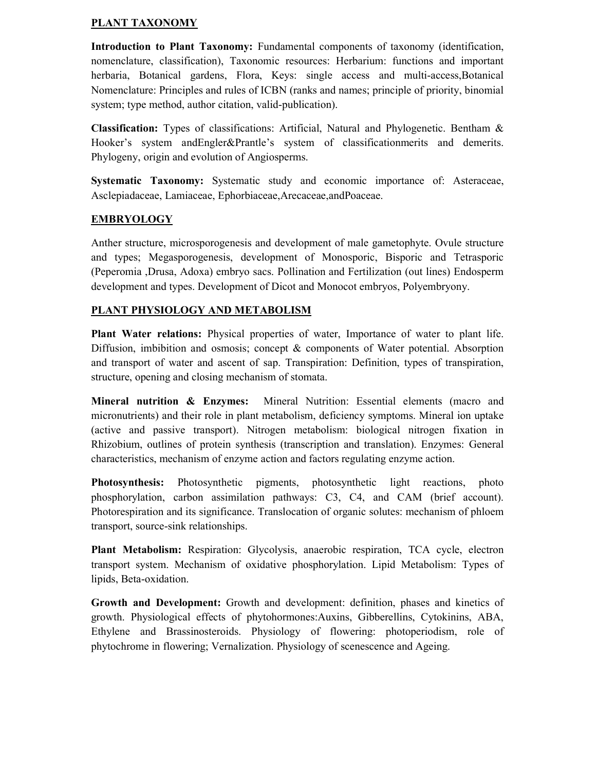#### PLANT TAXONOMY

Introduction to Plant Taxonomy: Fundamental components of taxonomy (identification, nomenclature, classification), Taxonomic resources: Herbarium: functions and important herbaria, Botanical gardens, Flora, Keys: single access and multi-access,Botanical Nomenclature: Principles and rules of ICBN (ranks and names; principle of priority, binomial system; type method, author citation, valid-publication).

Classification: Types of classifications: Artificial, Natural and Phylogenetic. Bentham & Hooker's system andEngler&Prantle's system of classificationmerits and demerits. Phylogeny, origin and evolution of Angiosperms.

Systematic Taxonomy: Systematic study and economic importance of: Asteraceae, Asclepiadaceae, Lamiaceae, Ephorbiaceae,Arecaceae,andPoaceae.

### **EMBRYOLOGY**

Anther structure, microsporogenesis and development of male gametophyte. Ovule structure and types; Megasporogenesis, development of Monosporic, Bisporic and Tetrasporic (Peperomia ,Drusa, Adoxa) embryo sacs. Pollination and Fertilization (out lines) Endosperm development and types. Development of Dicot and Monocot embryos, Polyembryony.

#### PLANT PHYSIOLOGY AND METABOLISM

Plant Water relations: Physical properties of water, Importance of water to plant life. Diffusion, imbibition and osmosis; concept & components of Water potential. Absorption and transport of water and ascent of sap. Transpiration: Definition, types of transpiration, structure, opening and closing mechanism of stomata.

Mineral nutrition & Enzymes: Mineral Nutrition: Essential elements (macro and micronutrients) and their role in plant metabolism, deficiency symptoms. Mineral ion uptake (active and passive transport). Nitrogen metabolism: biological nitrogen fixation in Rhizobium, outlines of protein synthesis (transcription and translation). Enzymes: General characteristics, mechanism of enzyme action and factors regulating enzyme action.

Photosynthesis: Photosynthetic pigments, photosynthetic light reactions, photo phosphorylation, carbon assimilation pathways: C3, C4, and CAM (brief account). Photorespiration and its significance. Translocation of organic solutes: mechanism of phloem transport, source-sink relationships.

Plant Metabolism: Respiration: Glycolysis, anaerobic respiration, TCA cycle, electron transport system. Mechanism of oxidative phosphorylation. Lipid Metabolism: Types of lipids, Beta-oxidation.

Growth and Development: Growth and development: definition, phases and kinetics of growth. Physiological effects of phytohormones:Auxins, Gibberellins, Cytokinins, ABA, Ethylene and Brassinosteroids. Physiology of flowering: photoperiodism, role of phytochrome in flowering; Vernalization. Physiology of scenescence and Ageing.